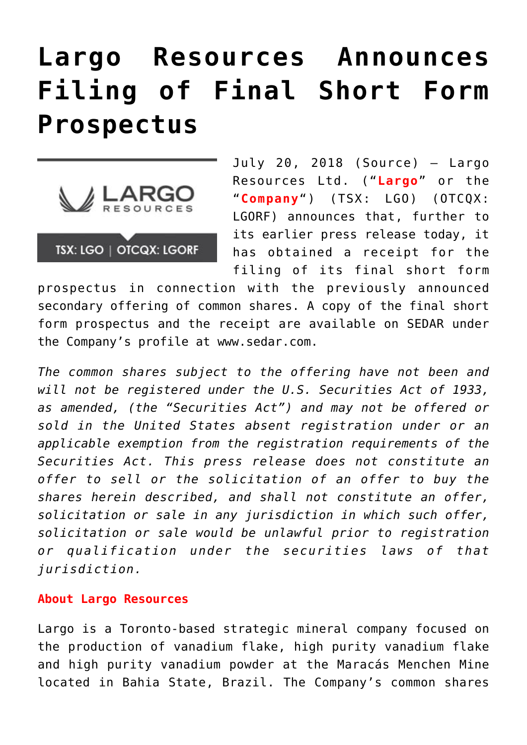## **[Largo Resources Announces](https://investorintel.com/markets/cleantech/cleantech-news/largo-resources-announces-filing-final-short-form-prospectus/) [Filing of Final Short Form](https://investorintel.com/markets/cleantech/cleantech-news/largo-resources-announces-filing-final-short-form-prospectus/) [Prospectus](https://investorintel.com/markets/cleantech/cleantech-news/largo-resources-announces-filing-final-short-form-prospectus/)**



July 20, 2018 ([Source](https://investorintel.com/iintel-members/largo-resources-ltd/)) — Largo Resources Ltd. ("**Largo**" or the "**Company**") (TSX: LGO) (OTCQX: LGORF) announces that, further to its earlier press release today, it has obtained a receipt for the filing of its final short form

prospectus in connection with the previously announced secondary offering of common shares. A copy of the final short form prospectus and the receipt are available on SEDAR under the Company's profile at [www.sedar.com](http://www.sedar.com/).

*The common shares subject to the offering have not been and will not be registered under the U.S. Securities Act of 1933, as amended, (the "Securities Act") and may not be offered or sold in the United States absent registration under or an applicable exemption from the registration requirements of the Securities Act. This press release does not constitute an offer to sell or the solicitation of an offer to buy the shares herein described, and shall not constitute an offer, solicitation or sale in any jurisdiction in which such offer, solicitation or sale would be unlawful prior to registration or qualification under the securities laws of that jurisdiction.*

## **About Largo Resources**

Largo is a Toronto-based strategic mineral company focused on the production of vanadium flake, high purity vanadium flake and high purity vanadium powder at the Maracás Menchen Mine located in Bahia State, Brazil. The Company's common shares